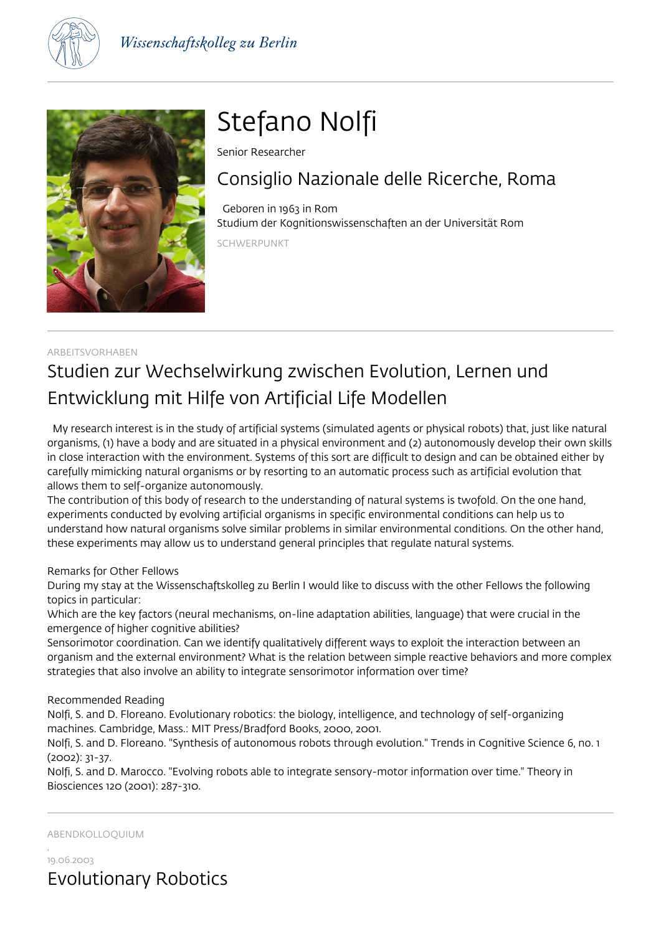



# Stefano Nolfi

Senior Researcher

## Consiglio Nazionale delle Ricerche, Roma

 Geboren in 1963 in Rom Studium der Kognitionswissenschaften an der Universität Rom

SCHWERPUNKT

## ARBEITSVORHABEN Studien zur Wechselwirkung zwischen Evolution, Lernen und Entwicklung mit Hilfe von Artificial Life Modellen

 My research interest is in the study of artificial systems (simulated agents or physical robots) that, just like natural organisms, (1) have a body and are situated in a physical environment and (2) autonomously develop their own skills in close interaction with the environment. Systems of this sort are difficult to design and can be obtained either by carefully mimicking natural organisms or by resorting to an automatic process such as artificial evolution that allows them to self-organize autonomously.

The contribution of this body of research to the understanding of natural systems is twofold. On the one hand, experiments conducted by evolving artificial organisms in specific environmental conditions can help us to understand how natural organisms solve similar problems in similar environmental conditions. On the other hand, these experiments may allow us to understand general principles that regulate natural systems.

Remarks for Other Fellows

During my stay at the Wissenschaftskolleg zu Berlin I would like to discuss with the other Fellows the following topics in particular:

Which are the key factors (neural mechanisms, on-line adaptation abilities, language) that were crucial in the emergence of higher cognitive abilities?

Sensorimotor coordination. Can we identify qualitatively different ways to exploit the interaction between an organism and the external environment? What is the relation between simple reactive behaviors and more complex strategies that also involve an ability to integrate sensorimotor information over time?

### Recommended Reading

Nolfi, S. and D. Floreano. Evolutionary robotics: the biology, intelligence, and technology of self-organizing machines. Cambridge, Mass.: MIT Press/Bradford Books, 2000, 2001.

Nolfi, S. and D. Floreano. "Synthesis of autonomous robots through evolution." Trends in Cognitive Science 6, no. 1 (2002): 31-37.

Nolfi, S. and D. Marocco. "Evolving robots able to integrate sensory-motor information over time." Theory in Biosciences 120 (2001): 287-310.

ABENDKOLLOQUIUM